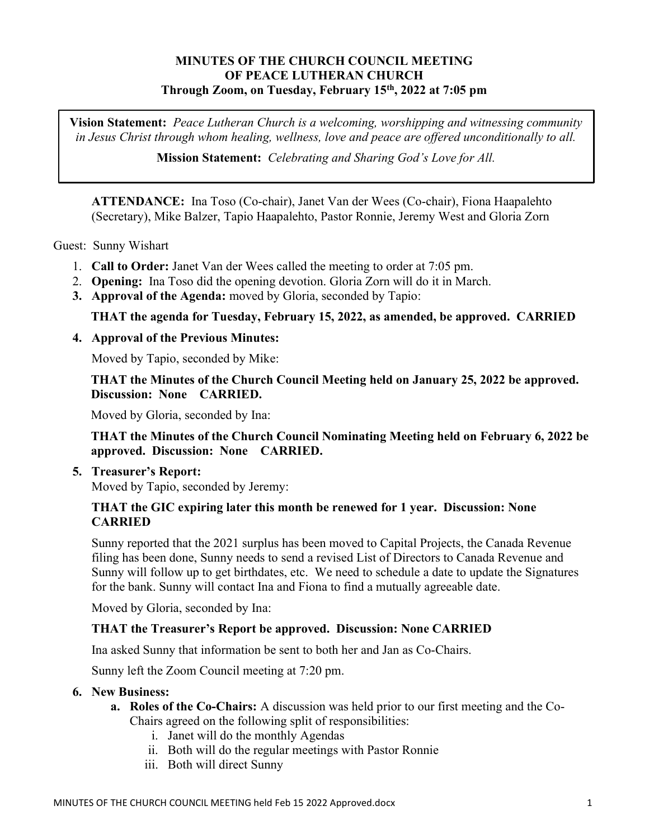# MINUTES OF THE CHURCH COUNCIL MEETING OF PEACE LUTHERAN CHURCH Through Zoom, on Tuesday, February 15th, 2022 at 7:05 pm

Vision Statement: Peace Lutheran Church is a welcoming, worshipping and witnessing community in Jesus Christ through whom healing, wellness, love and peace are offered unconditionally to all.

Mission Statement: Celebrating and Sharing God's Love for All.

ATTENDANCE: Ina Toso (Co-chair), Janet Van der Wees (Co-chair), Fiona Haapalehto (Secretary), Mike Balzer, Tapio Haapalehto, Pastor Ronnie, Jeremy West and Gloria Zorn

Guest: Sunny Wishart

- 1. Call to Order: Janet Van der Wees called the meeting to order at 7:05 pm.
- 2. Opening: Ina Toso did the opening devotion. Gloria Zorn will do it in March.
- 3. Approval of the Agenda: moved by Gloria, seconded by Tapio:

## THAT the agenda for Tuesday, February 15, 2022, as amended, be approved. CARRIED

### 4. Approval of the Previous Minutes:

Moved by Tapio, seconded by Mike:

THAT the Minutes of the Church Council Meeting held on January 25, 2022 be approved. Discussion: None CARRIED.

Moved by Gloria, seconded by Ina:

THAT the Minutes of the Church Council Nominating Meeting held on February 6, 2022 be approved. Discussion: None CARRIED.

5. Treasurer's Report:

Moved by Tapio, seconded by Jeremy:

### THAT the GIC expiring later this month be renewed for 1 year. Discussion: None **CARRIED**

Sunny reported that the 2021 surplus has been moved to Capital Projects, the Canada Revenue filing has been done, Sunny needs to send a revised List of Directors to Canada Revenue and Sunny will follow up to get birthdates, etc. We need to schedule a date to update the Signatures for the bank. Sunny will contact Ina and Fiona to find a mutually agreeable date.

Moved by Gloria, seconded by Ina:

## THAT the Treasurer's Report be approved. Discussion: None CARRIED

Ina asked Sunny that information be sent to both her and Jan as Co-Chairs.

Sunny left the Zoom Council meeting at 7:20 pm.

### 6. New Business:

- a. Roles of the Co-Chairs: A discussion was held prior to our first meeting and the Co-Chairs agreed on the following split of responsibilities:
	- i. Janet will do the monthly Agendas
	- ii. Both will do the regular meetings with Pastor Ronnie
	- iii. Both will direct Sunny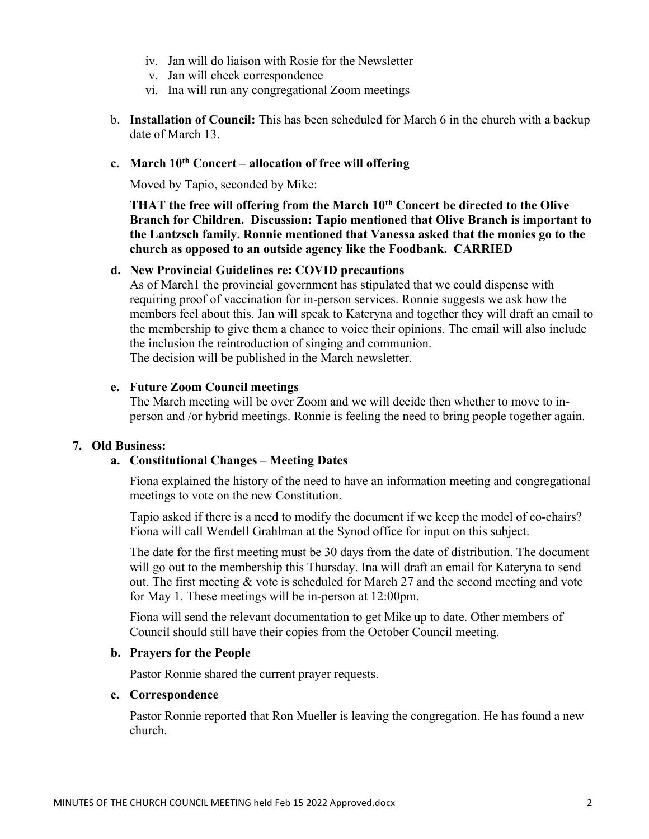- iv. Jan will do liaison with Rosie for the Newsletter
- v. Jan will check correspondence
- vi. Ina will run any congregational Zoom meetings
- b. Installation of Council: This has been scheduled for March 6 in the church with a backup date of March 13.

## c. March  $10^{th}$  Concert – allocation of free will offering

Moved by Tapio, seconded by Mike:

THAT the free will offering from the March  $10<sup>th</sup>$  Concert be directed to the Olive Branch for Children. Discussion: Tapio mentioned that Olive Branch is important to the Lantzsch family. Ronnie mentioned that Vanessa asked that the monies go to the church as opposed to an outside agency like the Foodbank. CARRIED

### d. New Provincial Guidelines re: COVID precautions

As of March1 the provincial government has stipulated that we could dispense with requiring proof of vaccination for in-person services. Ronnie suggests we ask how the members feel about this. Jan will speak to Kateryna and together they will draft an email to the membership to give them a chance to voice their opinions. The email will also include the inclusion the reintroduction of singing and communion. The decision will be published in the March newsletter.

#### e. Future Zoom Council meetings

The March meeting will be over Zoom and we will decide then whether to move to inperson and /or hybrid meetings. Ronnie is feeling the need to bring people together again.

#### 7. Old Business:

### a. Constitutional Changes – Meeting Dates

Fiona explained the history of the need to have an information meeting and congregational meetings to vote on the new Constitution.

Tapio asked if there is a need to modify the document if we keep the model of co-chairs? Fiona will call Wendell Grahlman at the Synod office for input on this subject.

The date for the first meeting must be 30 days from the date of distribution. The document will go out to the membership this Thursday. Ina will draft an email for Kateryna to send out. The first meeting & vote is scheduled for March 27 and the second meeting and vote for May 1. These meetings will be in-person at 12:00pm.

Fiona will send the relevant documentation to get Mike up to date. Other members of Council should still have their copies from the October Council meeting.

### b. Prayers for the People

Pastor Ronnie shared the current prayer requests.

#### c. Correspondence

Pastor Ronnie reported that Ron Mueller is leaving the congregation. He has found a new church.